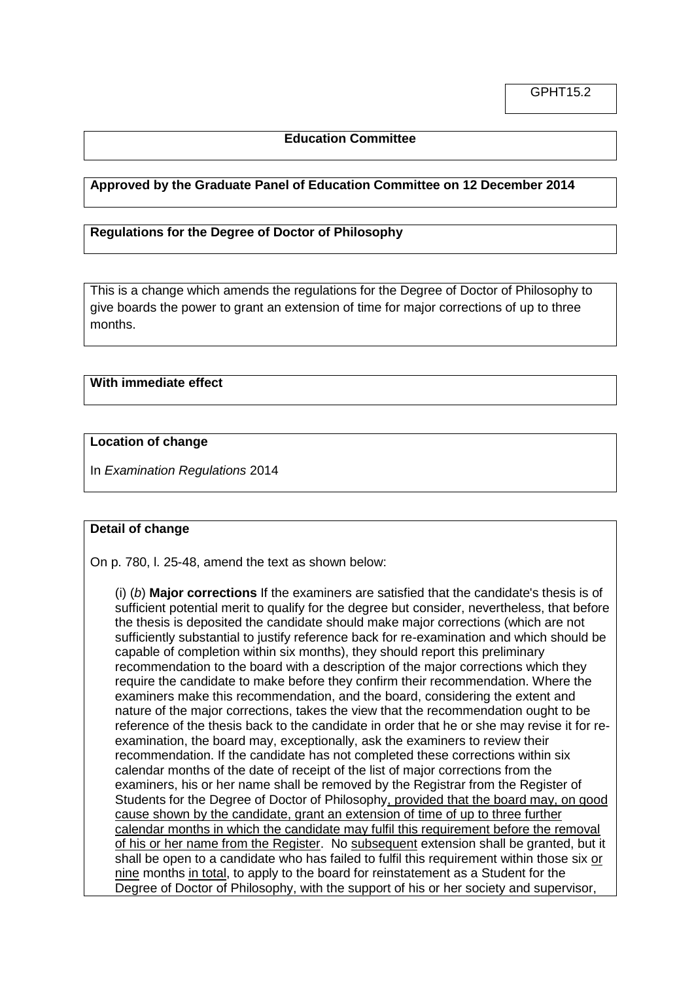## **Education Committee**

# **Approved by the Graduate Panel of Education Committee on 12 December 2014**

# **Regulations for the Degree of Doctor of Philosophy**

This is a change which amends the regulations for the Degree of Doctor of Philosophy to give boards the power to grant an extension of time for major corrections of up to three months.

# **With immediate effect**

## **Location of change**

In *Examination Regulations* 2014

## **Detail of change**

On p. 780, l. 25-48, amend the text as shown below:

(i) (*b*) **Major corrections** If the examiners are satisfied that the candidate's thesis is of sufficient potential merit to qualify for the degree but consider, nevertheless, that before the thesis is deposited the candidate should make major corrections (which are not sufficiently substantial to justify reference back for re-examination and which should be capable of completion within six months), they should report this preliminary recommendation to the board with a description of the major corrections which they require the candidate to make before they confirm their recommendation. Where the examiners make this recommendation, and the board, considering the extent and nature of the major corrections, takes the view that the recommendation ought to be reference of the thesis back to the candidate in order that he or she may revise it for reexamination, the board may, exceptionally, ask the examiners to review their recommendation. If the candidate has not completed these corrections within six calendar months of the date of receipt of the list of major corrections from the examiners, his or her name shall be removed by the Registrar from the Register of Students for the Degree of Doctor of Philosophy, provided that the board may, on good cause shown by the candidate, grant an extension of time of up to three further calendar months in which the candidate may fulfil this requirement before the removal of his or her name from the Register. No subsequent extension shall be granted, but it shall be open to a candidate who has failed to fulfil this requirement within those six or nine months in total, to apply to the board for reinstatement as a Student for the Degree of Doctor of Philosophy, with the support of his or her society and supervisor,